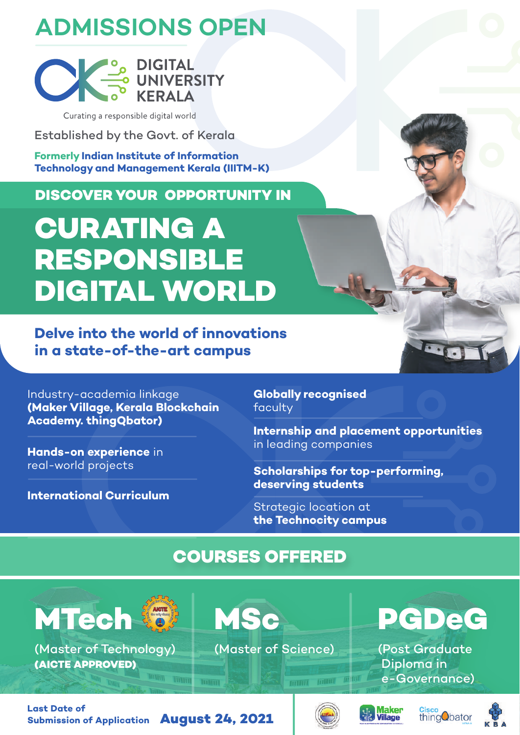# **ADMISSIONS OPEN**



Curating a responsible digital world

Established by the Govt. of Kerala

**Formerly Indian Institute of Information Technology and Management Kerala (IIITM-K)**

**DISCOVER YOUR OPPORTUNITY IN**

# **CURATING A RESPONSIBLE DIGITAL WORLD**

**Delve into the world of innovations in a state-of-the-art campus**

Industry-academia linkage **(Maker Village, Kerala Blockchain Academy. thingQbator)**

**Hands-on experience** in real-world projects

**International Curriculum**

**Globally recognised** faculty

**Internship and placement opportunities** in leading companies

 $\cdot$  .

**Scholarships for top-performing, deserving students**

Strategic location at **the Technocity campus**

## **COURSES OFFERED**

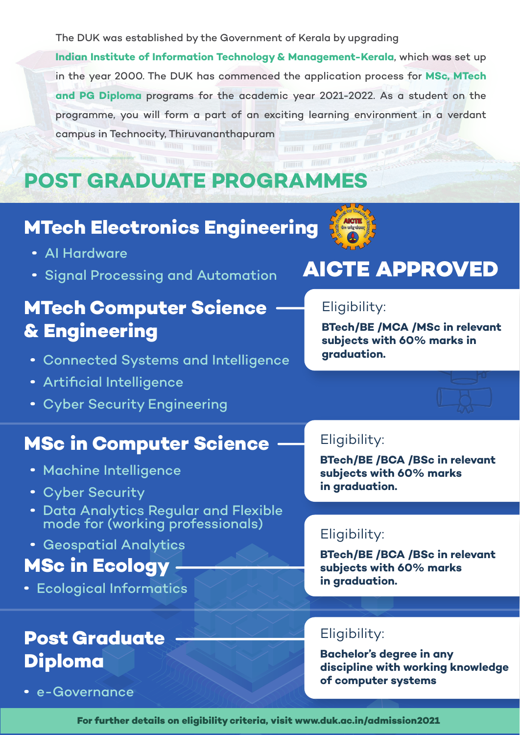The DUK was established by the Government of Kerala by upgrading

**Indian Institute of Information Technology & Management-Kerala**, which was set up in the year 2000. The DUK has commenced the application process for **MSc, MTech and PG Diploma** programs for the academic year 2021-2022. As a student on the programme, you will form a part of an exciting learning environment in a verdant campus in Technocity, Thiruvananthapuram

**MUIT** 

### partiet format manuf **POST GRADUATE PROGRAMMES**

### **MTech Electronics Engineering**

- AI Hardware
- Signal Processing and Automation

## **MTech Computer Science & Engineering**

- Connected Systems and Intelligence
- Artificial Intelligence
- Cyber Security Engineering

### **MSc in Computer Science**

- Machine Intelligence
- Cyber Security
- Data Analytics Regular and Flexible mode for (working professionals)
- Geospatial Analytics

### **MSc in Ecology**

Ecological Informatics

## **Post Graduate Diploma**

e-Governance

## **AICTE APPROVED**

#### Eligibility:

**BTech/BE /MCA /MSc in relevant subjects with 60% marks in graduation.**

#### Eligibility:

**BTech/BE /BCA /BSc in relevant subjects with 60% marks in graduation.**

#### Eligibility:

**BTech/BE /BCA /BSc in relevant subjects with 60% marks in graduation.**

#### Eligibility:

**Bachelor's degree in any discipline with working knowledge of computer systems**

**For further details on eligibility criteria, visit www.duk.ac.in/admission2021**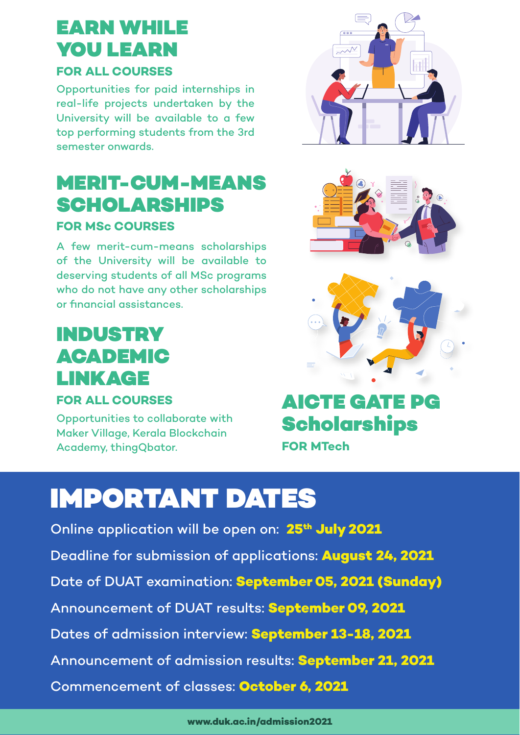## EARN WHILE YOU LEARN

#### **FOR ALL COURSES**

Opportunities for paid internships in real-life projects undertaken by the University will be available to a few top performing students from the 3rd semester onwards.

## MERIT-CUM-MEANS **SCHOLARSHIPS**

#### **FOR MSc COURSES**

A few merit-cum-means scholarships of the University will be available to deserving students of all MSc programs who do not have any other scholarships or financial assistances.

## INDUSTRY ACADEMIC LINKAGE

#### **FOR ALL COURSES**

Opportunities to collaborate with Maker Village, Kerala Blockchain Academy, thingQbator.

### AICTE GATE PG **Scholarships FOR MTech**

# IMPORTANT DATES

Online application will be open on: 25<sup>th</sup> July 2021 Deadline for submission of applications: **August 24, 2021** Date of DUAT examination: **September 05, 2021 (Sunday)** Announcement of DUAT results: **September 09, 2021** Dates of admission interview: **September 13-18, 2021** Announcement of admission results: **September 21, 2021** Commencement of classes: **October 6, 2021**